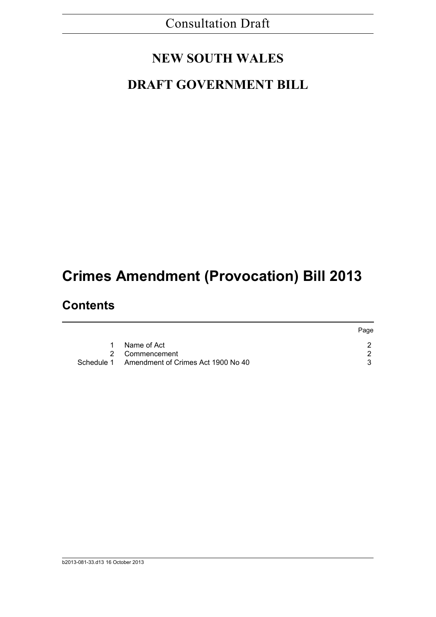## Consultation Draft

## **NEW SOUTH WALES**

### **DRAFT GOVERNMENT BILL**

# **Crimes Amendment (Provocation) Bill 2013**

### **Contents**

|            |                                    | Page |
|------------|------------------------------------|------|
|            | Name of Act                        |      |
|            | 2 Commencement                     |      |
| Schedule 1 | Amendment of Crimes Act 1900 No 40 |      |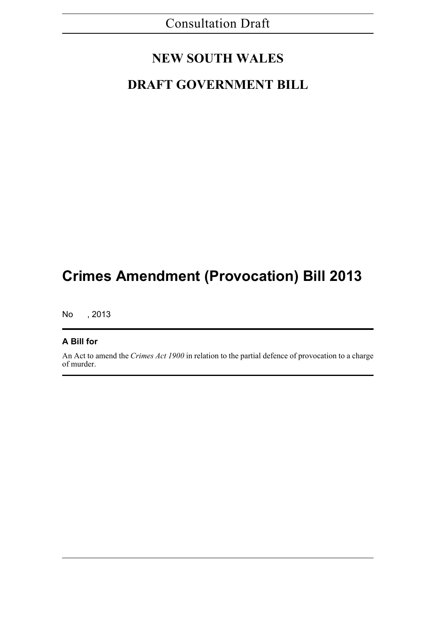### **NEW SOUTH WALES**

### **DRAFT GOVERNMENT BILL**

## **Crimes Amendment (Provocation) Bill 2013**

No , 2013

### **A Bill for**

An Act to amend the *Crimes Act 1900* in relation to the partial defence of provocation to a charge of murder.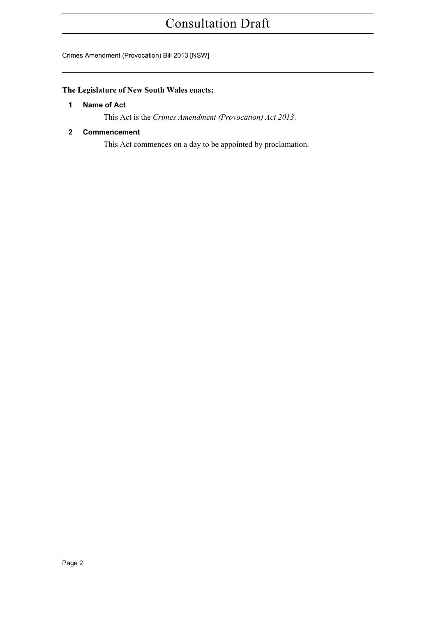## Consultation Draft

#### Crimes Amendment (Provocation) Bill 2013 [NSW]

### <span id="page-2-0"></span>**The Legislature of New South Wales enacts:**

#### **1 Name of Act**

This Act is the *Crimes Amendment (Provocation) Act 2013*.

#### <span id="page-2-1"></span>**2 Commencement**

This Act commences on a day to be appointed by proclamation.